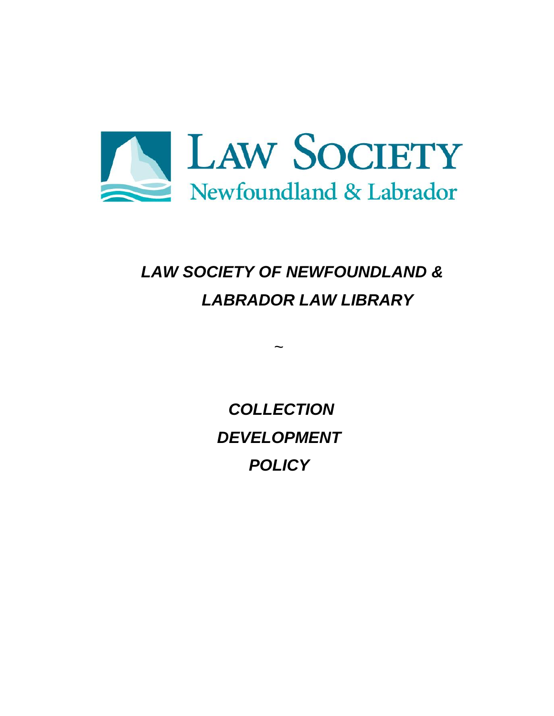

# *LAW SOCIETY OF NEWFOUNDLAND & LABRADOR LAW LIBRARY*

*COLLECTION DEVELOPMENT POLICY*

 $\ddot{\phantom{0}}$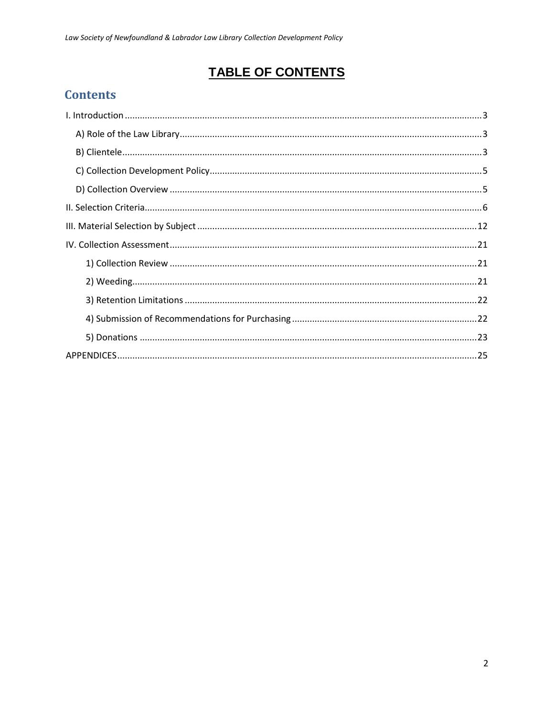# **TABLE OF CONTENTS**

# **Contents**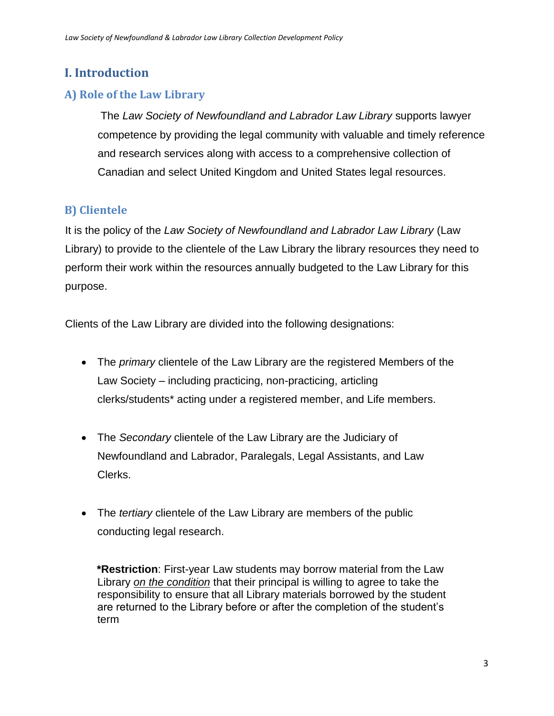# <span id="page-2-0"></span>**I. Introduction**

## <span id="page-2-1"></span>**A) Role of the Law Library**

The *Law Society of Newfoundland and Labrador Law Library* supports lawyer competence by providing the legal community with valuable and timely reference and research services along with access to a comprehensive collection of Canadian and select United Kingdom and United States legal resources.

# <span id="page-2-2"></span>**B) Clientele**

It is the policy of the *Law Society of Newfoundland and Labrador Law Library* (Law Library) to provide to the clientele of the Law Library the library resources they need to perform their work within the resources annually budgeted to the Law Library for this purpose.

Clients of the Law Library are divided into the following designations:

- The *primary* clientele of the Law Library are the registered Members of the Law Society – including practicing, non-practicing, articling clerks/students\* acting under a registered member, and Life members.
- The *Secondary* clientele of the Law Library are the Judiciary of Newfoundland and Labrador, Paralegals, Legal Assistants, and Law Clerks.
- The *tertiary* clientele of the Law Library are members of the public conducting legal research.

**\*Restriction**: First-year Law students may borrow material from the Law Library *on the condition* that their principal is willing to agree to take the responsibility to ensure that all Library materials borrowed by the student are returned to the Library before or after the completion of the student's term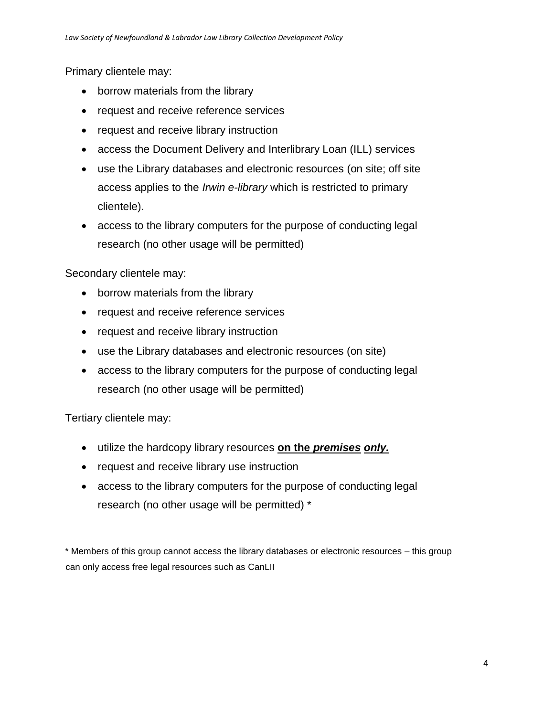Primary clientele may:

- borrow materials from the library
- request and receive reference services
- request and receive library instruction
- access the Document Delivery and Interlibrary Loan (ILL) services
- use the Library databases and electronic resources (on site; off site access applies to the *Irwin e-library* which is restricted to primary clientele).
- access to the library computers for the purpose of conducting legal research (no other usage will be permitted)

Secondary clientele may:

- borrow materials from the library
- request and receive reference services
- request and receive library instruction
- use the Library databases and electronic resources (on site)
- access to the library computers for the purpose of conducting legal research (no other usage will be permitted)

Tertiary clientele may:

- utilize the hardcopy library resources **on the** *premises only.*
- request and receive library use instruction
- access to the library computers for the purpose of conducting legal research (no other usage will be permitted) \*

\* Members of this group cannot access the library databases or electronic resources – this group can only access free legal resources such as CanLII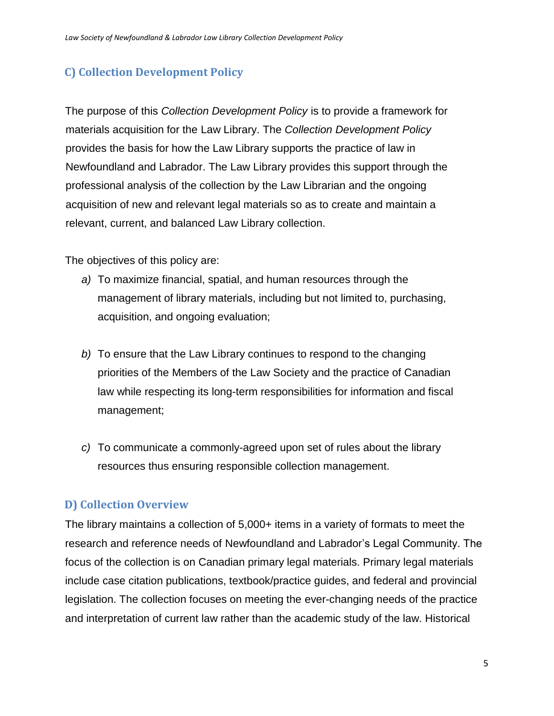# <span id="page-4-0"></span>**C) Collection Development Policy**

The purpose of this *Collection Development Policy* is to provide a framework for materials acquisition for the Law Library. The *Collection Development Policy* provides the basis for how the Law Library supports the practice of law in Newfoundland and Labrador. The Law Library provides this support through the professional analysis of the collection by the Law Librarian and the ongoing acquisition of new and relevant legal materials so as to create and maintain a relevant, current, and balanced Law Library collection.

The objectives of this policy are:

- *a)* To maximize financial, spatial, and human resources through the management of library materials, including but not limited to, purchasing, acquisition, and ongoing evaluation;
- *b)* To ensure that the Law Library continues to respond to the changing priorities of the Members of the Law Society and the practice of Canadian law while respecting its long-term responsibilities for information and fiscal management;
- *c)* To communicate a commonly-agreed upon set of rules about the library resources thus ensuring responsible collection management.

# <span id="page-4-1"></span>**D) Collection Overview**

The library maintains a collection of 5,000+ items in a variety of formats to meet the research and reference needs of Newfoundland and Labrador's Legal Community. The focus of the collection is on Canadian primary legal materials. Primary legal materials include case citation publications, textbook/practice guides, and federal and provincial legislation. The collection focuses on meeting the ever-changing needs of the practice and interpretation of current law rather than the academic study of the law. Historical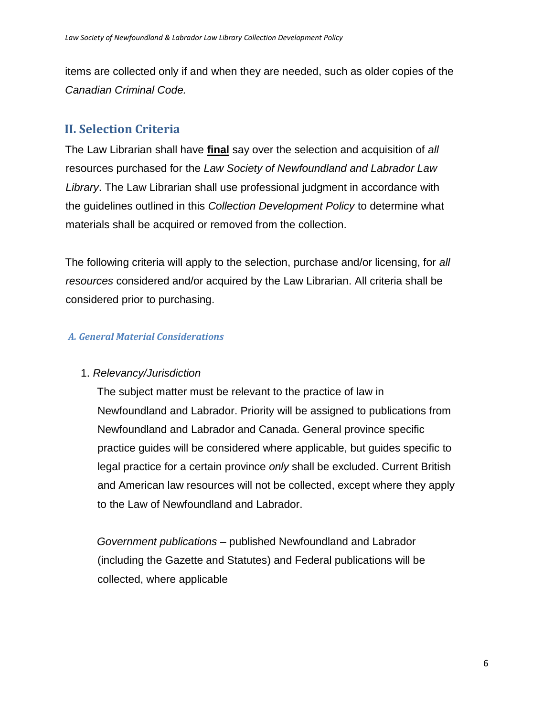items are collected only if and when they are needed, such as older copies of the *Canadian Criminal Code.*

## <span id="page-5-0"></span>**II. Selection Criteria**

The Law Librarian shall have **final** say over the selection and acquisition of *all*  resources purchased for the *Law Society of Newfoundland and Labrador Law Library*. The Law Librarian shall use professional judgment in accordance with the guidelines outlined in this *Collection Development Policy* to determine what materials shall be acquired or removed from the collection.

The following criteria will apply to the selection, purchase and/or licensing, for *all resources* considered and/or acquired by the Law Librarian. All criteria shall be considered prior to purchasing.

#### *A. General Material Considerations*

#### 1. *Relevancy/Jurisdiction*

The subject matter must be relevant to the practice of law in Newfoundland and Labrador. Priority will be assigned to publications from Newfoundland and Labrador and Canada. General province specific practice guides will be considered where applicable, but guides specific to legal practice for a certain province *only* shall be excluded. Current British and American law resources will not be collected, except where they apply to the Law of Newfoundland and Labrador.

*Government publications* – published Newfoundland and Labrador (including the Gazette and Statutes) and Federal publications will be collected, where applicable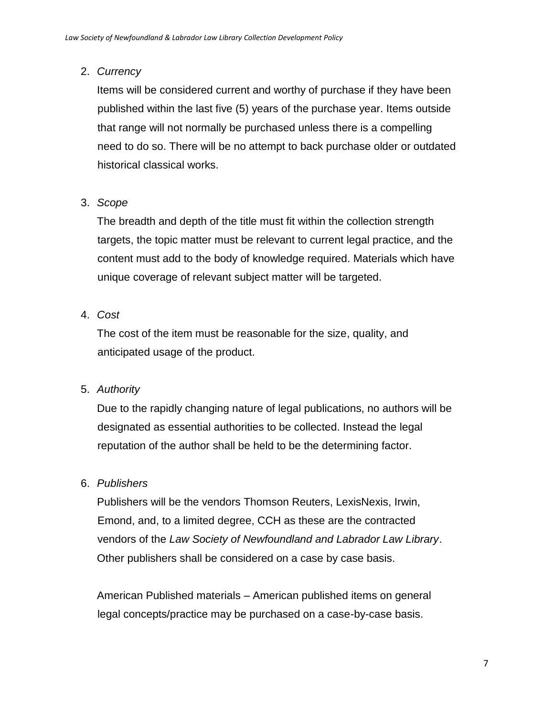#### 2. *Currency*

Items will be considered current and worthy of purchase if they have been published within the last five (5) years of the purchase year. Items outside that range will not normally be purchased unless there is a compelling need to do so. There will be no attempt to back purchase older or outdated historical classical works.

## 3. *Scope*

The breadth and depth of the title must fit within the collection strength targets, the topic matter must be relevant to current legal practice, and the content must add to the body of knowledge required. Materials which have unique coverage of relevant subject matter will be targeted.

#### 4. *Cost*

The cost of the item must be reasonable for the size, quality, and anticipated usage of the product.

## 5. *Authority*

Due to the rapidly changing nature of legal publications, no authors will be designated as essential authorities to be collected. Instead the legal reputation of the author shall be held to be the determining factor.

## 6. *Publishers*

Publishers will be the vendors Thomson Reuters, LexisNexis, Irwin, Emond, and, to a limited degree, CCH as these are the contracted vendors of the *Law Society of Newfoundland and Labrador Law Library*. Other publishers shall be considered on a case by case basis.

American Published materials – American published items on general legal concepts/practice may be purchased on a case-by-case basis.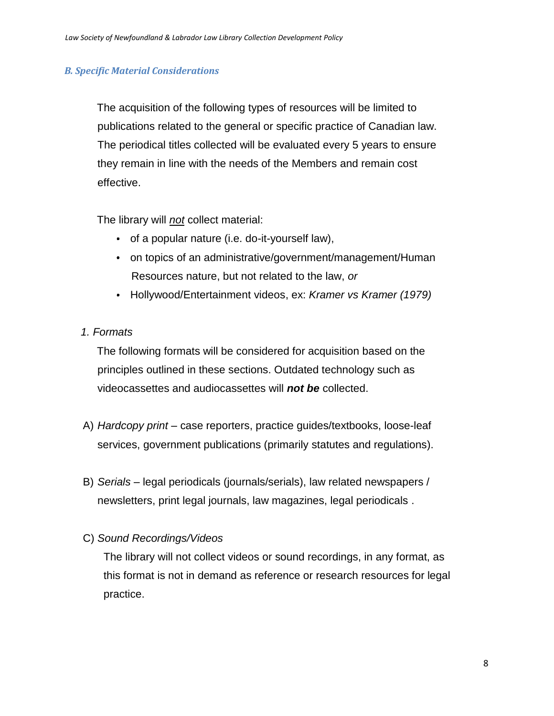#### *B. Specific Material Considerations*

The acquisition of the following types of resources will be limited to publications related to the general or specific practice of Canadian law. The periodical titles collected will be evaluated every 5 years to ensure they remain in line with the needs of the Members and remain cost effective.

The library will *not* collect material:

- of a popular nature (i.e. do-it-yourself law),
- on topics of an administrative/government/management/Human Resources nature, but not related to the law, *or*
- Hollywood/Entertainment videos, ex: *Kramer vs Kramer (1979)*
- *1. Formats*

The following formats will be considered for acquisition based on the principles outlined in these sections. Outdated technology such as videocassettes and audiocassettes will *not be* collected.

- A) *Hardcopy print* case reporters, practice guides/textbooks, loose-leaf services, government publications (primarily statutes and regulations).
- B) *Serials –* legal periodicals (journals/serials), law related newspapers / newsletters, print legal journals, law magazines, legal periodicals .
- C) *Sound Recordings/Videos*

The library will not collect videos or sound recordings, in any format, as this format is not in demand as reference or research resources for legal practice.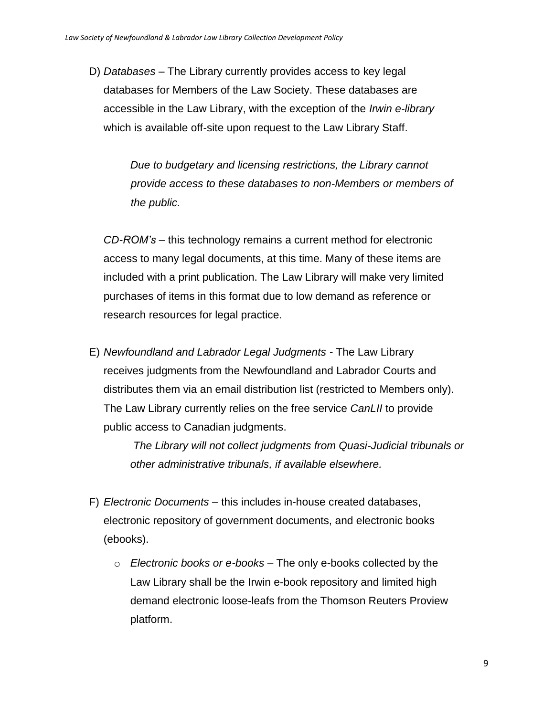D) *Databases* – The Library currently provides access to key legal databases for Members of the Law Society. These databases are accessible in the Law Library, with the exception of the *Irwin e-library* which is available off-site upon request to the Law Library Staff.

> *Due to budgetary and licensing restrictions, the Library cannot provide access to these databases to non-Members or members of the public.*

*CD-ROM's –* this technology remains a current method for electronic access to many legal documents, at this time. Many of these items are included with a print publication. The Law Library will make very limited purchases of items in this format due to low demand as reference or research resources for legal practice.

E) *Newfoundland and Labrador Legal Judgments -* The Law Library receives judgments from the Newfoundland and Labrador Courts and distributes them via an email distribution list (restricted to Members only). The Law Library currently relies on the free service *CanLII* to provide public access to Canadian judgments.

> *The Library will not collect judgments from Quasi-Judicial tribunals or other administrative tribunals, if available elsewhere.*

- F) *Electronic Documents –* this includes in-house created databases, electronic repository of government documents, and electronic books (ebooks).
	- o *Electronic books or e-books –* The only e-books collected by the Law Library shall be the Irwin e-book repository and limited high demand electronic loose-leafs from the Thomson Reuters Proview platform.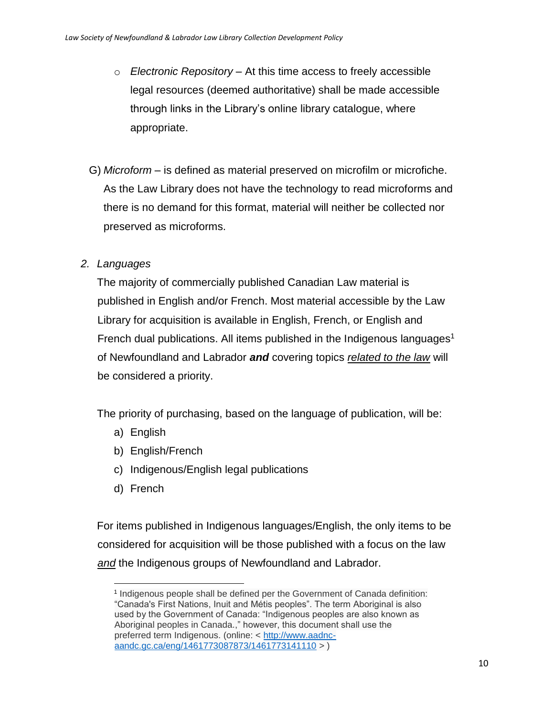- o *Electronic Repository –* At this time access to freely accessible legal resources (deemed authoritative) shall be made accessible through links in the Library's online library catalogue, where appropriate.
- G) *Microform –* is defined as material preserved on microfilm or microfiche. As the Law Library does not have the technology to read microforms and there is no demand for this format, material will neither be collected nor preserved as microforms.
- *2. Languages*

The majority of commercially published Canadian Law material is published in English and/or French. Most material accessible by the Law Library for acquisition is available in English, French, or English and French dual publications. All items published in the Indigenous languages<sup>1</sup> of Newfoundland and Labrador *and* covering topics *related to the law* will be considered a priority.

The priority of purchasing, based on the language of publication, will be:

- a) English
- b) English/French
- c) Indigenous/English legal publications
- d) French

For items published in Indigenous languages/English, the only items to be considered for acquisition will be those published with a focus on the law *and* the Indigenous groups of Newfoundland and Labrador.

 $\overline{a}$ <sup>1</sup> Indigenous people shall be defined per the Government of Canada definition: "Canada's First Nations, Inuit and Métis peoples". The term Aboriginal is also used by the Government of Canada: "Indigenous peoples are also known as Aboriginal peoples in Canada.," however, this document shall use the preferred term Indigenous. (online: < [http://www.aadnc](http://www.aadnc-aandc.gc.ca/eng/1461773087873/1461773141110)[aandc.gc.ca/eng/1461773087873/1461773141110](http://www.aadnc-aandc.gc.ca/eng/1461773087873/1461773141110) > )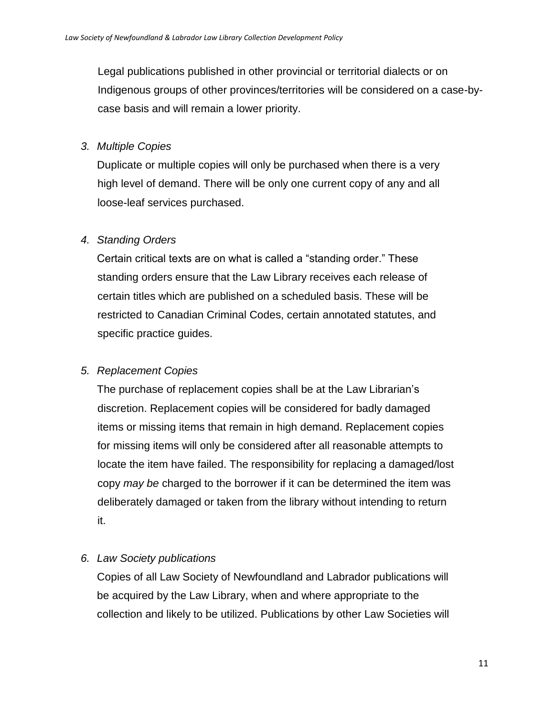Legal publications published in other provincial or territorial dialects or on Indigenous groups of other provinces/territories will be considered on a case-bycase basis and will remain a lower priority.

#### *3. Multiple Copies*

Duplicate or multiple copies will only be purchased when there is a very high level of demand. There will be only one current copy of any and all loose-leaf services purchased.

#### *4. Standing Orders*

Certain critical texts are on what is called a "standing order." These standing orders ensure that the Law Library receives each release of certain titles which are published on a scheduled basis. These will be restricted to Canadian Criminal Codes, certain annotated statutes, and specific practice guides.

#### *5. Replacement Copies*

The purchase of replacement copies shall be at the Law Librarian's discretion. Replacement copies will be considered for badly damaged items or missing items that remain in high demand. Replacement copies for missing items will only be considered after all reasonable attempts to locate the item have failed. The responsibility for replacing a damaged/lost copy *may be* charged to the borrower if it can be determined the item was deliberately damaged or taken from the library without intending to return it.

#### *6. Law Society publications*

Copies of all Law Society of Newfoundland and Labrador publications will be acquired by the Law Library, when and where appropriate to the collection and likely to be utilized. Publications by other Law Societies will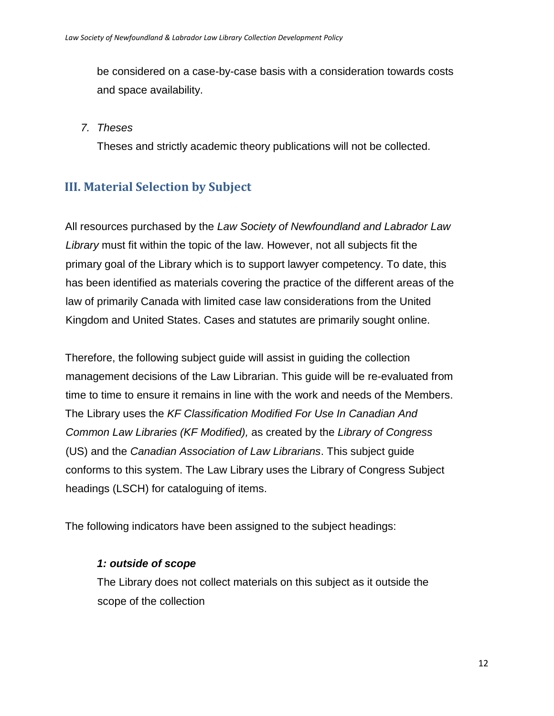be considered on a case-by-case basis with a consideration towards costs and space availability.

#### *7. Theses*

Theses and strictly academic theory publications will not be collected.

# <span id="page-11-0"></span>**III. Material Selection by Subject**

All resources purchased by the *Law Society of Newfoundland and Labrador Law Library* must fit within the topic of the law. However, not all subjects fit the primary goal of the Library which is to support lawyer competency. To date, this has been identified as materials covering the practice of the different areas of the law of primarily Canada with limited case law considerations from the United Kingdom and United States. Cases and statutes are primarily sought online.

Therefore, the following subject guide will assist in guiding the collection management decisions of the Law Librarian. This guide will be re-evaluated from time to time to ensure it remains in line with the work and needs of the Members. The Library uses the *KF Classification Modified For Use In Canadian And Common Law Libraries (KF Modified),* as created by the *Library of Congress* (US) and the *Canadian Association of Law Librarians*. This subject guide conforms to this system. The Law Library uses the Library of Congress Subject headings (LSCH) for cataloguing of items.

The following indicators have been assigned to the subject headings:

#### *1: outside of scope*

The Library does not collect materials on this subject as it outside the scope of the collection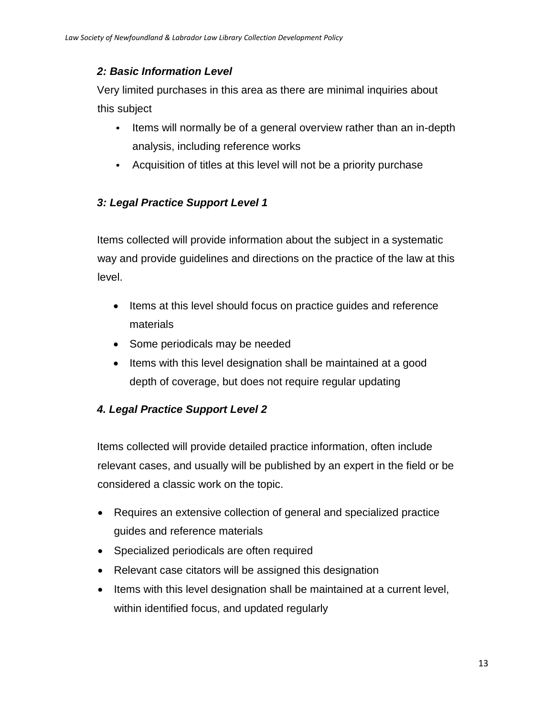#### *2: Basic Information Level*

Very limited purchases in this area as there are minimal inquiries about this subject

- $\bullet$ Items will normally be of a general overview rather than an in-depth analysis, including reference works
- Acquisition of titles at this level will not be a priority purchase

#### *3: Legal Practice Support Level 1*

Items collected will provide information about the subject in a systematic way and provide guidelines and directions on the practice of the law at this level.

- Items at this level should focus on practice guides and reference materials
- Some periodicals may be needed
- Items with this level designation shall be maintained at a good depth of coverage, but does not require regular updating

#### *4. Legal Practice Support Level 2*

Items collected will provide detailed practice information, often include relevant cases, and usually will be published by an expert in the field or be considered a classic work on the topic.

- Requires an extensive collection of general and specialized practice guides and reference materials
- Specialized periodicals are often required
- Relevant case citators will be assigned this designation
- Items with this level designation shall be maintained at a current level, within identified focus, and updated regularly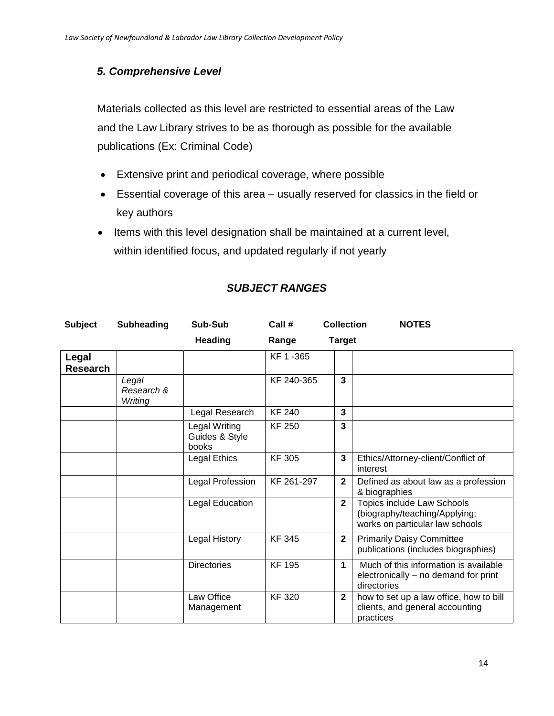#### *5. Comprehensive Level*

Materials collected as this level are restricted to essential areas of the Law and the Law Library strives to be as thorough as possible for the available publications (Ex: Criminal Code)

- Extensive print and periodical coverage, where possible
- Essential coverage of this area usually reserved for classics in the field or key authors
- Items with this level designation shall be maintained at a current level, within identified focus, and updated regularly if not yearly

| <b>Subject</b>           | <b>Subheading</b>              | Sub-Sub                                  | Call #        | <b>Collection</b> | <b>NOTES</b>                                                                                   |
|--------------------------|--------------------------------|------------------------------------------|---------------|-------------------|------------------------------------------------------------------------------------------------|
|                          |                                | <b>Heading</b>                           | Range         | <b>Target</b>     |                                                                                                |
| Legal<br><b>Research</b> |                                |                                          | KF 1-365      |                   |                                                                                                |
|                          | Legal<br>Research &<br>Writing |                                          | KF 240-365    | 3                 |                                                                                                |
|                          |                                | Legal Research                           | <b>KF 240</b> | 3                 |                                                                                                |
|                          |                                | Legal Writing<br>Guides & Style<br>books | <b>KF 250</b> | 3                 |                                                                                                |
|                          |                                | Legal Ethics                             | <b>KF305</b>  | 3                 | Ethics/Attorney-client/Conflict of<br>interest                                                 |
|                          |                                | Legal Profession                         | KF 261-297    | $\mathbf{2}$      | Defined as about law as a profession<br>& biographies                                          |
|                          |                                | Legal Education                          |               | $\mathbf{2}$      | Topics include Law Schools<br>(biography/teaching/Applying;<br>works on particular law schools |
|                          |                                | <b>Legal History</b>                     | <b>KF 345</b> | $\mathbf{2}$      | <b>Primarily Daisy Committee</b><br>publications (includes biographies)                        |
|                          |                                | <b>Directories</b>                       | <b>KF 195</b> | $\mathbf 1$       | Much of this information is available<br>electronically – no demand for print<br>directories   |
|                          |                                | Law Office<br>Management                 | <b>KF320</b>  | $\mathbf{2}$      | how to set up a law office, how to bill<br>clients, and general accounting<br>practices        |

#### *SUBJECT RANGES*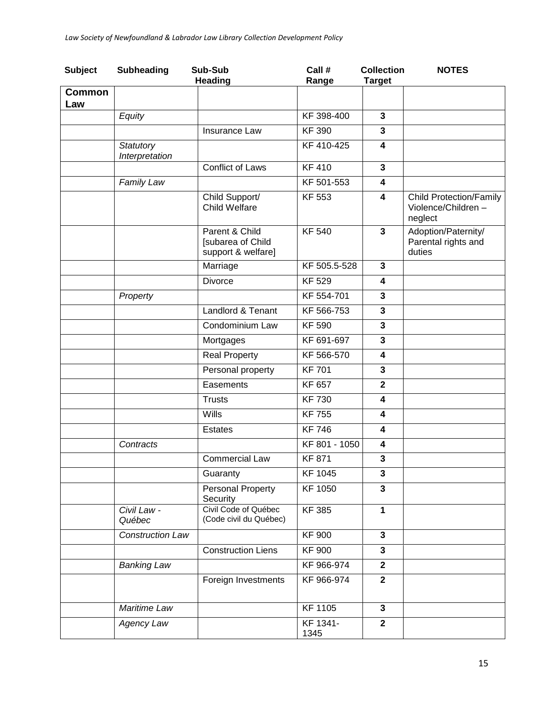| <b>Subject</b>       | <b>Subheading</b>           | Sub-Sub<br><b>Heading</b>                                 | Call #<br>Range  | <b>Collection</b><br><b>Target</b> | <b>NOTES</b>                                                    |
|----------------------|-----------------------------|-----------------------------------------------------------|------------------|------------------------------------|-----------------------------------------------------------------|
| <b>Common</b><br>Law |                             |                                                           |                  |                                    |                                                                 |
|                      | Equity                      |                                                           | KF 398-400       | 3                                  |                                                                 |
|                      |                             | Insurance Law                                             | <b>KF390</b>     | 3                                  |                                                                 |
|                      | Statutory<br>Interpretation |                                                           | KF 410-425       | 4                                  |                                                                 |
|                      |                             | Conflict of Laws                                          | <b>KF410</b>     | 3                                  |                                                                 |
|                      | Family Law                  |                                                           | KF 501-553       | 4                                  |                                                                 |
|                      |                             | Child Support/<br>Child Welfare                           | <b>KF 553</b>    | 4                                  | <b>Child Protection/Family</b><br>Violence/Children-<br>neglect |
|                      |                             | Parent & Child<br>[subarea of Child<br>support & welfare] | <b>KF 540</b>    | 3                                  | Adoption/Paternity/<br>Parental rights and<br>duties            |
|                      |                             | Marriage                                                  | KF 505.5-528     | 3                                  |                                                                 |
|                      |                             | <b>Divorce</b>                                            | <b>KF 529</b>    | 4                                  |                                                                 |
|                      | Property                    |                                                           | KF 554-701       | 3                                  |                                                                 |
|                      |                             | Landlord & Tenant                                         | KF 566-753       | $\mathbf{3}$                       |                                                                 |
|                      |                             | Condominium Law                                           | <b>KF 590</b>    | $\mathbf{3}$                       |                                                                 |
|                      |                             | Mortgages                                                 | KF 691-697       | $\mathbf{3}$                       |                                                                 |
|                      |                             | <b>Real Property</b>                                      | KF 566-570       | $\overline{\mathbf{4}}$            |                                                                 |
|                      |                             | Personal property                                         | <b>KF701</b>     | $\mathbf{3}$                       |                                                                 |
|                      |                             | Easements                                                 | KF 657           | $\overline{2}$                     |                                                                 |
|                      |                             | <b>Trusts</b>                                             | <b>KF 730</b>    | 4                                  |                                                                 |
|                      |                             | Wills                                                     | <b>KF 755</b>    | 4                                  |                                                                 |
|                      |                             | <b>Estates</b>                                            | <b>KF746</b>     | 4                                  |                                                                 |
|                      | Contracts                   |                                                           | KF 801 - 1050    | 4                                  |                                                                 |
|                      |                             | <b>Commercial Law</b>                                     | <b>KF 871</b>    | 3                                  |                                                                 |
|                      |                             | Guaranty                                                  | KF 1045          | 3                                  |                                                                 |
|                      |                             | Personal Property<br>Security                             | <b>KF 1050</b>   | $\overline{\mathbf{3}}$            |                                                                 |
|                      | Civil Law -<br>Québec       | Civil Code of Québec<br>(Code civil du Québec)            | <b>KF385</b>     | $\mathbf{1}$                       |                                                                 |
|                      | <b>Construction Law</b>     |                                                           | <b>KF 900</b>    | $\mathbf{3}$                       |                                                                 |
|                      |                             | Construction Liens                                        | <b>KF 900</b>    | 3                                  |                                                                 |
|                      | <b>Banking Law</b>          |                                                           | KF 966-974       | $\mathbf{2}$                       |                                                                 |
|                      |                             | Foreign Investments                                       | KF 966-974       | $\mathbf{2}$                       |                                                                 |
|                      | Maritime Law                |                                                           | <b>KF 1105</b>   | $\mathbf{3}$                       |                                                                 |
|                      | Agency Law                  |                                                           | KF 1341-<br>1345 | $\mathbf{2}$                       |                                                                 |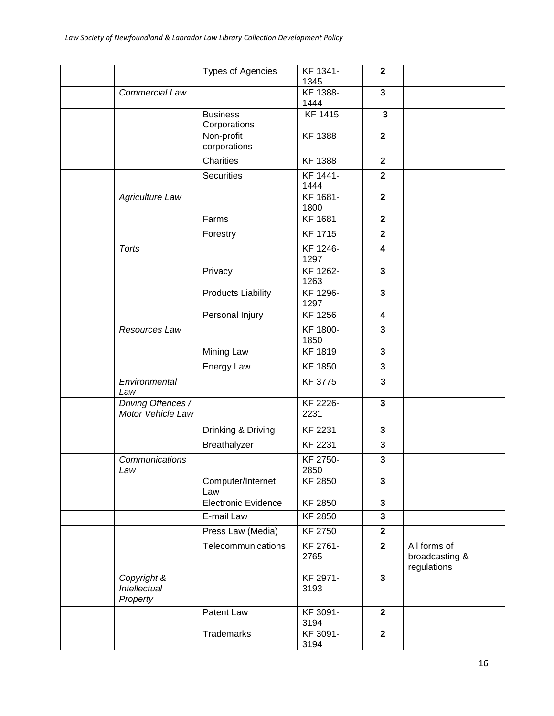|                                         | <b>Types of Agencies</b>        | KF 1341-<br>1345 | $\mathbf{2}$            |                                               |
|-----------------------------------------|---------------------------------|------------------|-------------------------|-----------------------------------------------|
| Commercial Law                          |                                 | KF 1388-<br>1444 | $\mathbf{3}$            |                                               |
|                                         | <b>Business</b><br>Corporations | <b>KF 1415</b>   | $\mathbf{3}$            |                                               |
|                                         | Non-profit<br>corporations      | <b>KF 1388</b>   | $\mathbf{2}$            |                                               |
|                                         | Charities                       | <b>KF 1388</b>   | $\mathbf{2}$            |                                               |
|                                         | <b>Securities</b>               | KF 1441-<br>1444 | $\mathbf{2}$            |                                               |
| <b>Agriculture Law</b>                  |                                 | KF 1681-<br>1800 | $\overline{2}$          |                                               |
|                                         | Farms                           | <b>KF 1681</b>   | $\mathbf{2}$            |                                               |
|                                         | Forestry                        | <b>KF 1715</b>   | $\mathbf{2}$            |                                               |
| <b>Torts</b>                            |                                 | KF 1246-<br>1297 | 4                       |                                               |
|                                         | Privacy                         | KF 1262-<br>1263 | $\mathbf{3}$            |                                               |
|                                         | <b>Products Liability</b>       | KF 1296-<br>1297 | $\mathbf{3}$            |                                               |
|                                         | Personal Injury                 | <b>KF</b> 1256   | 4                       |                                               |
| Resources Law                           |                                 | KF 1800-<br>1850 | 3                       |                                               |
|                                         | Mining Law                      | <b>KF 1819</b>   | $\mathbf{3}$            |                                               |
|                                         | Energy Law                      | <b>KF 1850</b>   | 3                       |                                               |
| Environmental<br>Law                    |                                 | <b>KF 3775</b>   | 3                       |                                               |
| Driving Offences /<br>Motor Vehicle Law |                                 | KF 2226-<br>2231 | $\mathbf{3}$            |                                               |
|                                         | Drinking & Driving              | KF 2231          | $\mathbf{3}$            |                                               |
|                                         | Breathalyzer                    | <b>KF 2231</b>   | $\mathbf 3$             |                                               |
| Communications<br>Law                   |                                 | KF 2750-<br>2850 | $\mathbf{3}$            |                                               |
|                                         | Computer/Internet<br>Law        | <b>KF 2850</b>   | $\mathbf{3}$            |                                               |
|                                         | <b>Electronic Evidence</b>      | <b>KF 2850</b>   | $\mathbf{3}$            |                                               |
|                                         | E-mail Law                      | <b>KF 2850</b>   | $\overline{\mathbf{3}}$ |                                               |
|                                         | Press Law (Media)               | <b>KF 2750</b>   | $\mathbf{2}$            |                                               |
|                                         | Telecommunications              | KF 2761-<br>2765 | $\mathbf{2}$            | All forms of<br>broadcasting &<br>regulations |
| Copyright &<br>Intellectual<br>Property |                                 | KF 2971-<br>3193 | $\mathbf{3}$            |                                               |
|                                         | Patent Law                      | KF 3091-<br>3194 | $\mathbf{2}$            |                                               |
|                                         | Trademarks                      | KF 3091-<br>3194 | $\mathbf{2}$            |                                               |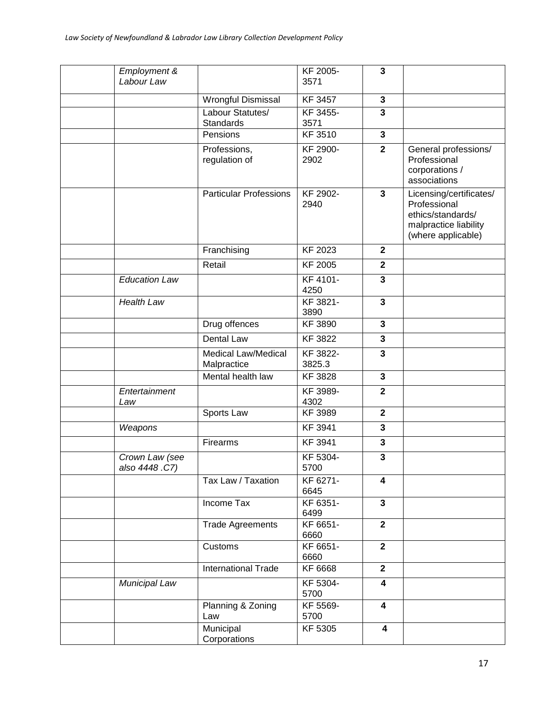| Employment &<br>Labour Law      |                                           | KF 2005-<br>3571   | $\mathbf{3}$            |                                                                                                             |
|---------------------------------|-------------------------------------------|--------------------|-------------------------|-------------------------------------------------------------------------------------------------------------|
|                                 | Wrongful Dismissal                        | KF 3457            | $\mathbf{3}$            |                                                                                                             |
|                                 | Labour Statutes/<br>Standards             | KF 3455-<br>3571   | 3                       |                                                                                                             |
|                                 | Pensions                                  | KF 3510            | $\mathbf{3}$            |                                                                                                             |
|                                 | Professions,<br>regulation of             | KF 2900-<br>2902   | $\overline{2}$          | General professions/<br>Professional<br>corporations /<br>associations                                      |
|                                 | <b>Particular Professions</b>             | KF 2902-<br>2940   | $\mathbf{3}$            | Licensing/certificates/<br>Professional<br>ethics/standards/<br>malpractice liability<br>(where applicable) |
|                                 | Franchising                               | KF 2023            | $\mathbf{2}$            |                                                                                                             |
|                                 | Retail                                    | <b>KF 2005</b>     | $\mathbf{2}$            |                                                                                                             |
| <b>Education Law</b>            |                                           | KF 4101-<br>4250   | 3                       |                                                                                                             |
| Health Law                      |                                           | KF 3821-<br>3890   | $\overline{\mathbf{3}}$ |                                                                                                             |
|                                 | Drug offences                             | KF 3890            | $\mathbf{3}$            |                                                                                                             |
|                                 | Dental Law                                | KF 3822            | 3                       |                                                                                                             |
|                                 | <b>Medical Law/Medical</b><br>Malpractice | KF 3822-<br>3825.3 | 3                       |                                                                                                             |
|                                 | Mental health law                         | <b>KF 3828</b>     | $\mathbf{3}$            |                                                                                                             |
| Entertainment<br>Law            |                                           | KF 3989-<br>4302   | $\mathbf{2}$            |                                                                                                             |
|                                 | Sports Law                                | <b>KF 3989</b>     | $\overline{2}$          |                                                                                                             |
| Weapons                         |                                           | KF 3941            | 3                       |                                                                                                             |
|                                 | Firearms                                  | KF 3941            | 3                       |                                                                                                             |
| Crown Law (see<br>also 4448.C7) |                                           | KF 5304-<br>5700   | 3                       |                                                                                                             |
|                                 | Tax Law / Taxation                        | KF 6271-<br>6645   | 4                       |                                                                                                             |
|                                 | Income Tax                                | KF 6351-<br>6499   | $\mathbf{3}$            |                                                                                                             |
|                                 | <b>Trade Agreements</b>                   | KF 6651-<br>6660   | $\mathbf{2}$            |                                                                                                             |
|                                 | Customs                                   | KF 6651-<br>6660   | $\mathbf{2}$            |                                                                                                             |
|                                 | International Trade                       | KF 6668            | $\mathbf{2}$            |                                                                                                             |
| Municipal Law                   |                                           | KF 5304-<br>5700   | 4                       |                                                                                                             |
|                                 | Planning & Zoning<br>Law                  | KF 5569-<br>5700   | $\overline{\mathbf{4}}$ |                                                                                                             |
|                                 | Municipal<br>Corporations                 | KF 5305            | 4                       |                                                                                                             |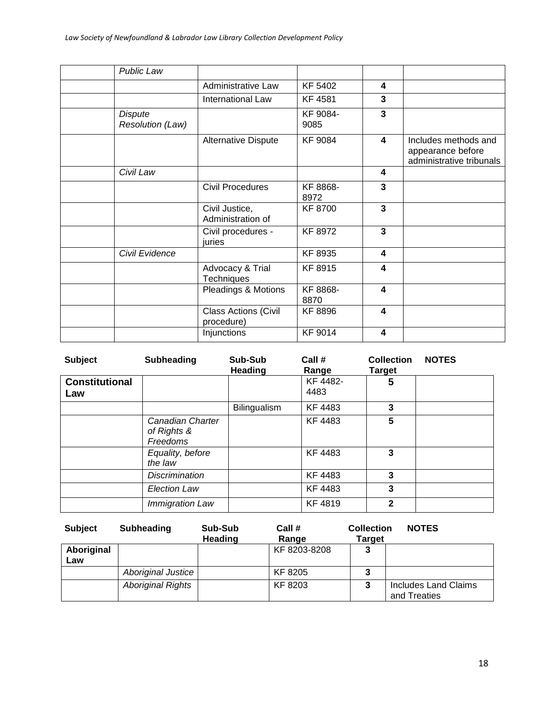| <b>Public Law</b>                         |                                           |                  |                  |                                                                       |
|-------------------------------------------|-------------------------------------------|------------------|------------------|-----------------------------------------------------------------------|
|                                           | <b>Administrative Law</b>                 | KF 5402          | 4                |                                                                       |
|                                           | International Law                         | <b>KF4581</b>    | 3                |                                                                       |
| <b>Dispute</b><br><b>Resolution (Law)</b> |                                           | KF 9084-<br>9085 | 3                |                                                                       |
|                                           | Alternative Dispute                       | <b>KF 9084</b>   | 4                | Includes methods and<br>appearance before<br>administrative tribunals |
| Civil Law                                 |                                           |                  | 4                |                                                                       |
|                                           | <b>Civil Procedures</b>                   | KF 8868-<br>8972 | 3                |                                                                       |
|                                           | Civil Justice,<br>Administration of       | <b>KF 8700</b>   | 3                |                                                                       |
|                                           | Civil procedures -<br>juries              | KF 8972          | 3                |                                                                       |
| Civil Evidence                            |                                           | KF 8935          | 4                |                                                                       |
|                                           | Advocacy & Trial<br>Techniques            | KF 8915          | 4                |                                                                       |
|                                           | <b>Pleadings &amp; Motions</b>            | KF 8868-<br>8870 | 4                |                                                                       |
|                                           | <b>Class Actions (Civil</b><br>procedure) | <b>KF8896</b>    | $\boldsymbol{4}$ |                                                                       |
|                                           | Injunctions                               | KF 9014          | 4                |                                                                       |
|                                           |                                           |                  |                  |                                                                       |

| <b>Subject</b>               | <b>Subheading</b>                           | Sub-Sub<br>Heading  | Call #<br>Range  | <b>Collection</b><br><b>Target</b> | <b>NOTES</b> |
|------------------------------|---------------------------------------------|---------------------|------------------|------------------------------------|--------------|
| <b>Constitutional</b><br>Law |                                             |                     | KF 4482-<br>4483 | 5                                  |              |
|                              |                                             | <b>Bilingualism</b> | KF 4483          | 3                                  |              |
|                              | Canadian Charter<br>of Rights &<br>Freedoms |                     | KF 4483          | 5                                  |              |
|                              | Equality, before<br>the law                 |                     | KF 4483          | 3                                  |              |
|                              | <b>Discrimination</b>                       |                     | KF 4483          | 3                                  |              |
|                              | <b>Election Law</b>                         |                     | KF 4483          | 3                                  |              |
|                              | Immigration Law                             |                     | KF 4819          | $\mathbf{2}$                       |              |

| <b>Subject</b>    | Subheading               | Sub-Sub<br><b>Heading</b> | Call #<br>Range | <b>Collection</b><br><b>Target</b> | <b>NOTES</b>                         |
|-------------------|--------------------------|---------------------------|-----------------|------------------------------------|--------------------------------------|
| Aboriginal<br>Law |                          |                           | KF 8203-8208    |                                    |                                      |
|                   | Aboriginal Justice       |                           | KF 8205         | 3                                  |                                      |
|                   | <b>Aboriginal Rights</b> |                           | KF 8203         | 3                                  | Includes Land Claims<br>and Treaties |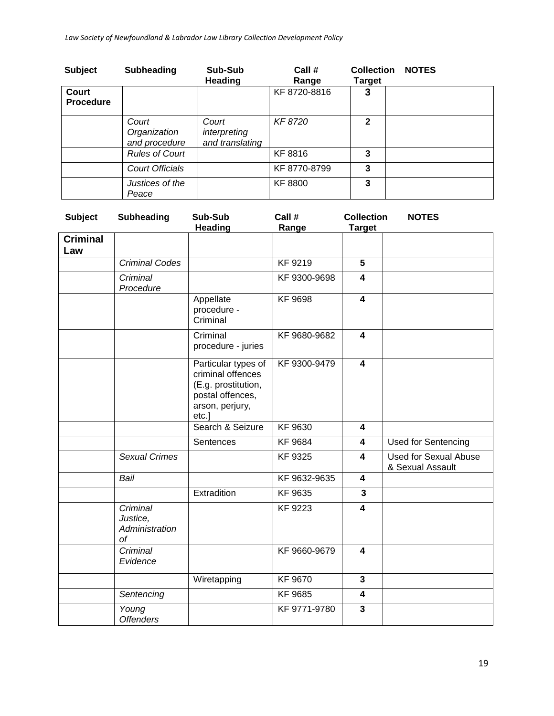| <b>Subject</b>            | <b>Subheading</b>                      | Sub-Sub<br><b>Heading</b>                | Call #<br>Range | <b>Collection</b><br><b>Target</b> | <b>NOTES</b> |
|---------------------------|----------------------------------------|------------------------------------------|-----------------|------------------------------------|--------------|
| Court<br><b>Procedure</b> |                                        |                                          | KF 8720-8816    | 3                                  |              |
|                           | Court<br>Organization<br>and procedure | Court<br>interpreting<br>and translating | KF 8720         | $\mathbf{2}$                       |              |
|                           | <b>Rules of Court</b>                  |                                          | KF 8816         | 3                                  |              |
|                           | <b>Court Officials</b>                 |                                          | KF 8770-8799    | 3                                  |              |
|                           | Justices of the<br>Peace               |                                          | <b>KF8800</b>   | 3                                  |              |

| <b>Subject</b>         | <b>Subheading</b>                                   | Sub-Sub<br><b>Heading</b>                                                                                       | Call #<br>Range | <b>Collection</b><br><b>Target</b> | <b>NOTES</b>                                     |
|------------------------|-----------------------------------------------------|-----------------------------------------------------------------------------------------------------------------|-----------------|------------------------------------|--------------------------------------------------|
| <b>Criminal</b><br>Law |                                                     |                                                                                                                 |                 |                                    |                                                  |
|                        | <b>Criminal Codes</b>                               |                                                                                                                 | KF 9219         | 5                                  |                                                  |
|                        | Criminal<br>Procedure                               |                                                                                                                 | KF 9300-9698    | $\overline{\mathbf{4}}$            |                                                  |
|                        |                                                     | Appellate<br>procedure -<br>Criminal                                                                            | <b>KF 9698</b>  | $\overline{\mathbf{4}}$            |                                                  |
|                        |                                                     | Criminal<br>procedure - juries                                                                                  | KF 9680-9682    | $\overline{\mathbf{4}}$            |                                                  |
|                        |                                                     | Particular types of<br>criminal offences<br>(E.g. prostitution,<br>postal offences,<br>arson, perjury,<br>etc.] | KF 9300-9479    | $\overline{\mathbf{4}}$            |                                                  |
|                        |                                                     | Search & Seizure                                                                                                | KF 9630         | $\overline{\mathbf{4}}$            |                                                  |
|                        |                                                     | Sentences                                                                                                       | <b>KF 9684</b>  | $\overline{\mathbf{4}}$            | <b>Used for Sentencing</b>                       |
|                        | <b>Sexual Crimes</b>                                |                                                                                                                 | KF 9325         | $\overline{\mathbf{4}}$            | <b>Used for Sexual Abuse</b><br>& Sexual Assault |
|                        | Bail                                                |                                                                                                                 | KF 9632-9635    | $\overline{\mathbf{4}}$            |                                                  |
|                        |                                                     | Extradition                                                                                                     | KF 9635         | $\mathbf{3}$                       |                                                  |
|                        | Criminal<br>Justice,<br>Administration<br><b>of</b> |                                                                                                                 | KF 9223         | $\overline{\mathbf{4}}$            |                                                  |
|                        | Criminal<br>Evidence                                |                                                                                                                 | KF 9660-9679    | $\overline{\mathbf{4}}$            |                                                  |
|                        |                                                     | Wiretapping                                                                                                     | <b>KF 9670</b>  | $\mathbf{3}$                       |                                                  |
|                        | Sentencing                                          |                                                                                                                 | KF 9685         | $\overline{\mathbf{4}}$            |                                                  |
|                        | Young<br><b>Offenders</b>                           |                                                                                                                 | KF 9771-9780    | $\overline{3}$                     |                                                  |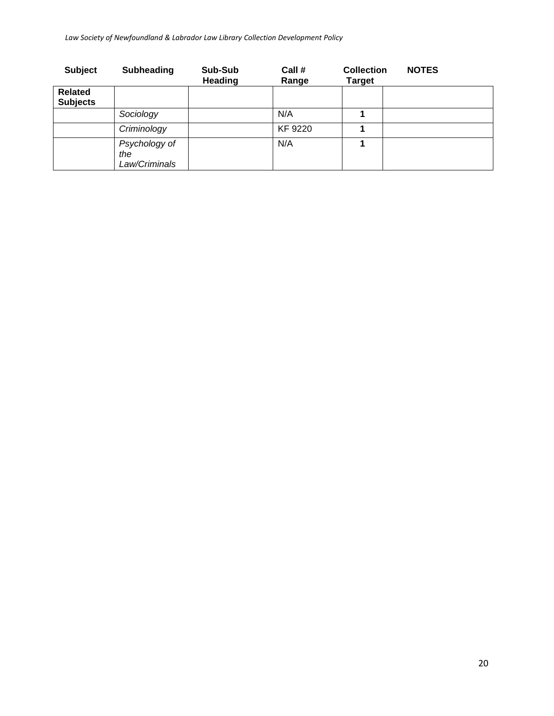| <b>Subject</b>                    | <b>Subheading</b>                     | Sub-Sub<br>Heading | Call #<br>Range | <b>Collection</b><br>Target | <b>NOTES</b> |
|-----------------------------------|---------------------------------------|--------------------|-----------------|-----------------------------|--------------|
| <b>Related</b><br><b>Subjects</b> |                                       |                    |                 |                             |              |
|                                   | Sociology                             |                    | N/A             |                             |              |
|                                   | Criminology                           |                    | KF 9220         |                             |              |
|                                   | Psychology of<br>the<br>Law/Criminals |                    | N/A             |                             |              |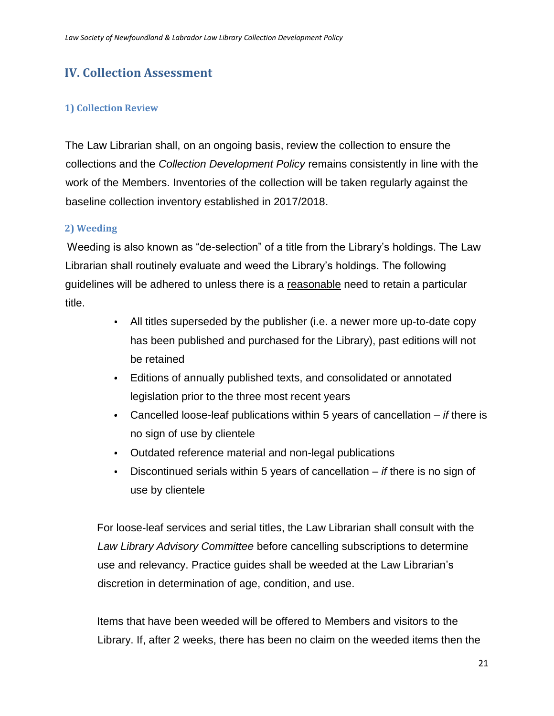# <span id="page-20-0"></span>**IV. Collection Assessment**

#### <span id="page-20-1"></span>**1) Collection Review**

The Law Librarian shall, on an ongoing basis, review the collection to ensure the collections and the *Collection Development Policy* remains consistently in line with the work of the Members. Inventories of the collection will be taken regularly against the baseline collection inventory established in 2017/2018.

#### <span id="page-20-2"></span>**2) Weeding**

Weeding is also known as "de-selection" of a title from the Library's holdings. The Law Librarian shall routinely evaluate and weed the Library's holdings. The following guidelines will be adhered to unless there is a reasonable need to retain a particular title.

- All titles superseded by the publisher (i.e. a newer more up-to-date copy has been published and purchased for the Library), past editions will not be retained
- Editions of annually published texts, and consolidated or annotated legislation prior to the three most recent years
- Cancelled loose-leaf publications within 5 years of cancellation *if* there is no sign of use by clientele
- Outdated reference material and non-legal publications
- $\bullet$ Discontinued serials within 5 years of cancellation – *if* there is no sign of use by clientele

For loose-leaf services and serial titles, the Law Librarian shall consult with the *Law Library Advisory Committee* before cancelling subscriptions to determine use and relevancy. Practice guides shall be weeded at the Law Librarian's discretion in determination of age, condition, and use.

Items that have been weeded will be offered to Members and visitors to the Library. If, after 2 weeks, there has been no claim on the weeded items then the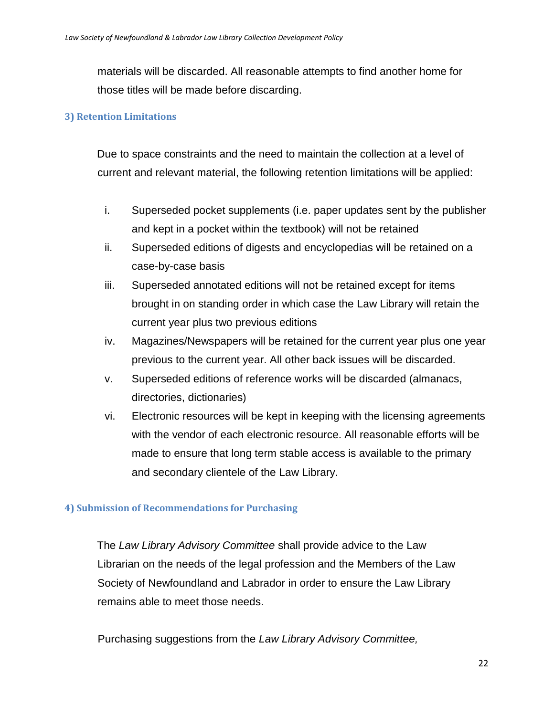materials will be discarded. All reasonable attempts to find another home for those titles will be made before discarding.

#### <span id="page-21-0"></span>**3) Retention Limitations**

Due to space constraints and the need to maintain the collection at a level of current and relevant material, the following retention limitations will be applied:

- i. Superseded pocket supplements (i.e. paper updates sent by the publisher and kept in a pocket within the textbook) will not be retained
- ii. Superseded editions of digests and encyclopedias will be retained on a case-by-case basis
- iii. Superseded annotated editions will not be retained except for items brought in on standing order in which case the Law Library will retain the current year plus two previous editions
- iv. Magazines/Newspapers will be retained for the current year plus one year previous to the current year. All other back issues will be discarded.
- v. Superseded editions of reference works will be discarded (almanacs, directories, dictionaries)
- vi. Electronic resources will be kept in keeping with the licensing agreements with the vendor of each electronic resource. All reasonable efforts will be made to ensure that long term stable access is available to the primary and secondary clientele of the Law Library.

#### <span id="page-21-1"></span>**4) Submission of Recommendations for Purchasing**

The *Law Library Advisory Committee* shall provide advice to the Law Librarian on the needs of the legal profession and the Members of the Law Society of Newfoundland and Labrador in order to ensure the Law Library remains able to meet those needs.

Purchasing suggestions from the *Law Library Advisory Committee,*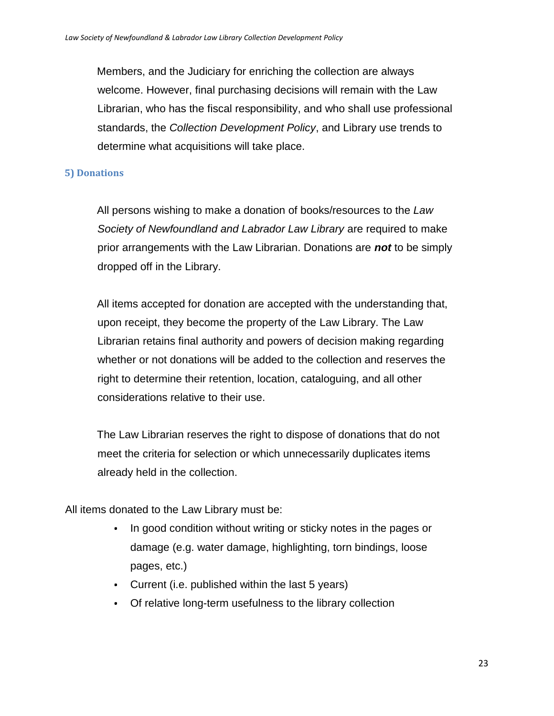Members, and the Judiciary for enriching the collection are always welcome. However, final purchasing decisions will remain with the Law Librarian, who has the fiscal responsibility, and who shall use professional standards, the *Collection Development Policy*, and Library use trends to determine what acquisitions will take place.

#### <span id="page-22-0"></span>**5) Donations**

All persons wishing to make a donation of books/resources to the *Law Society of Newfoundland and Labrador Law Library* are required to make prior arrangements with the Law Librarian. Donations are *not* to be simply dropped off in the Library.

All items accepted for donation are accepted with the understanding that, upon receipt, they become the property of the Law Library. The Law Librarian retains final authority and powers of decision making regarding whether or not donations will be added to the collection and reserves the right to determine their retention, location, cataloguing, and all other considerations relative to their use.

The Law Librarian reserves the right to dispose of donations that do not meet the criteria for selection or which unnecessarily duplicates items already held in the collection.

All items donated to the Law Library must be:

- In good condition without writing or sticky notes in the pages or  $\bullet$  . damage (e.g. water damage, highlighting, torn bindings, loose pages, etc.)
- Current (i.e. published within the last 5 years)
- Of relative long-term usefulness to the library collection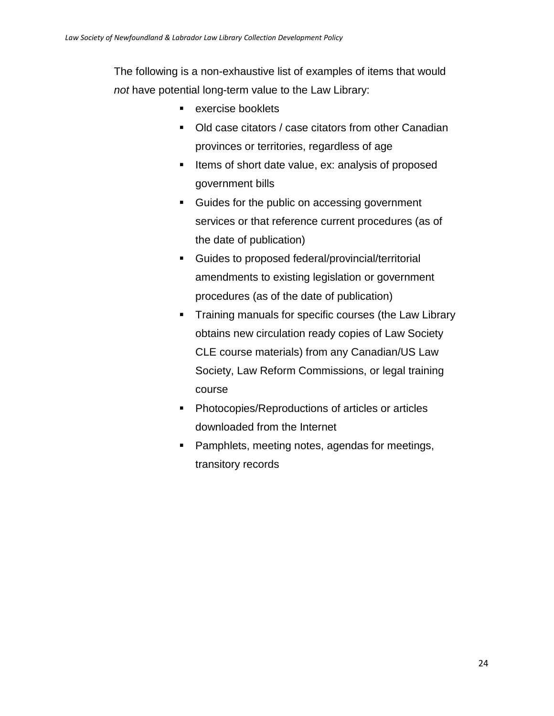The following is a non-exhaustive list of examples of items that would *not* have potential long-term value to the Law Library:

- exercise booklets
- Old case citators / case citators from other Canadian provinces or territories, regardless of age
- Items of short date value, ex: analysis of proposed government bills
- Guides for the public on accessing government services or that reference current procedures (as of the date of publication)
- Guides to proposed federal/provincial/territorial amendments to existing legislation or government procedures (as of the date of publication)
- **Training manuals for specific courses (the Law Library** obtains new circulation ready copies of Law Society CLE course materials) from any Canadian/US Law Society, Law Reform Commissions, or legal training course
- Photocopies/Reproductions of articles or articles downloaded from the Internet
- Pamphlets, meeting notes, agendas for meetings, transitory records